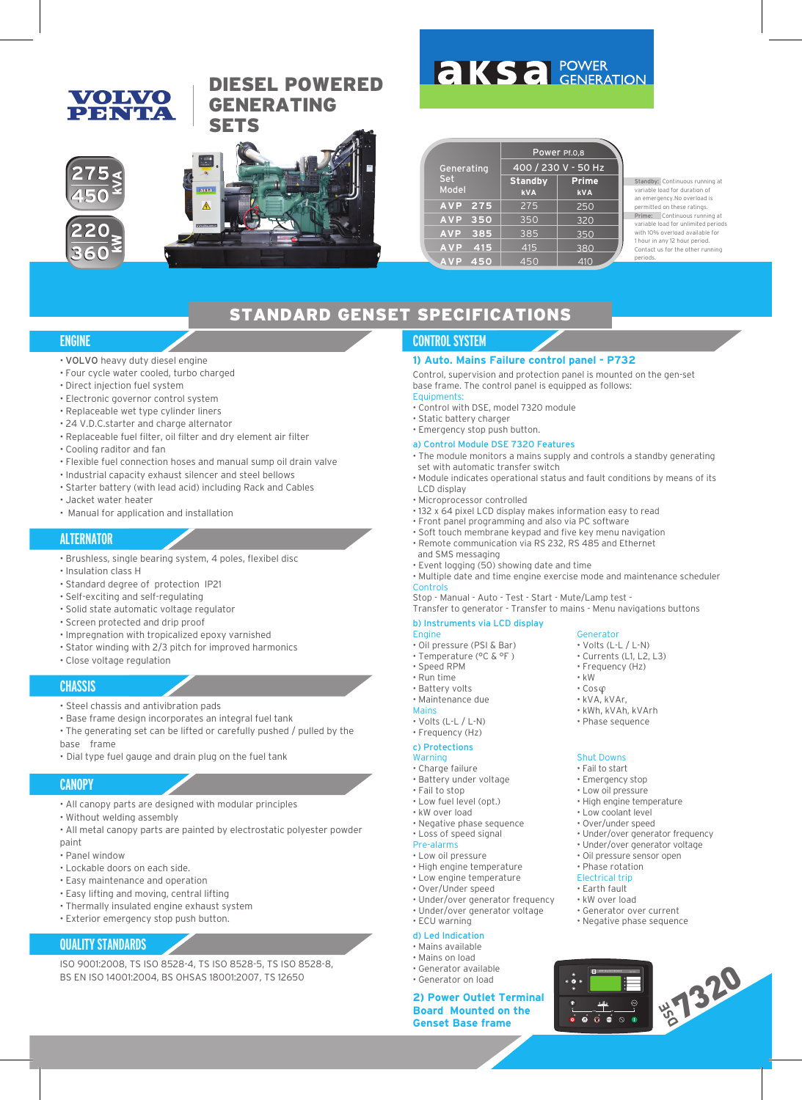# **VOLVO** PENTIA

# DIESEL POWERED GENERATING **SETS**



|                     | Power Pf.0,8                 |                            |  |  |
|---------------------|------------------------------|----------------------------|--|--|
| Generating          | 400 / 230 V - 50 Hz          |                            |  |  |
| Set<br><b>Model</b> | <b>Standby</b><br><b>kVA</b> | <b>Prime</b><br><b>kVA</b> |  |  |
| <b>AVP</b><br>275   | 275                          | 250                        |  |  |
| 350<br><b>AVP</b>   | 350                          | 320                        |  |  |
| 385<br><b>AVP</b>   | 385                          | 350                        |  |  |
| <b>AVP</b><br>415   | 415                          | 380                        |  |  |
| 450<br><b>AVP</b>   | 450                          | 410                        |  |  |

**AKSA POWER** 

Standby: Continuous running at variable load for duration of an emergency.No overload is permitted on these ratings. Prime: Continuous running at variable load for unlimited periods with 10% overload available for 1 hour in any 12 hour period. Contact us for the other running

periods.

# STANDARD GENSET SPECIFICATIONS

#### **ENGINE**

- VOLVO heavy duty diesel engine
- Four cycle water cooled, turbo charged
- Direct injection fuel system
- Electronic governor control system
- Replaceable wet type cylinder liners
- 24 V.D.C.starter and charge alternator
- Replaceable fuel filter, oil filter and dry element air filter
- Cooling raditor and fan
- Flexible fuel connection hoses and manual sump oil drain valve
- Industrial capacity exhaust silencer and steel bellows
- Starter battery (with lead acid) including Rack and Cables
- Jacket water heater
- Manual for application and installation

#### **ALTERNATOR**

- Brushless, single bearing system, 4 poles, flexibel disc
- Insulation class H
- Standard degree of protection IP21
- Self-exciting and self-regulating
- Solid state automatic voltage regulator
- Screen protected and drip proof
- Impregnation with tropicalized epoxy varnished
- Stator winding with 2/3 pitch for improved harmonics
- Close voltage regulation

#### **CHASSIS**

#### • Steel chassis and antivibration pads

• Base frame design incorporates an integral fuel tank

• The generating set can be lifted or carefully pushed / pulled by the base frame

• Dial type fuel gauge and drain plug on the fuel tank

#### **CANOPY**

- All canopy parts are designed with modular principles
- Without welding assembly
- All metal canopy parts are painted by electrostatic polyester powder paint
- Panel window
- Lockable doors on each side.
- Easy maintenance and operation
- Easy lifting and moving, central lifting
- Thermally insulated engine exhaust system
- Exterior emergency stop push button.

#### **QUALITY STANDARDS**

ISO 9001:2008, TS ISO 8528-4, TS ISO 8528-5, TS ISO 8528-8, BS EN ISO 14001:2004, BS OHSAS 18001:2007, TS 12650

### **CONTROL SYSTEM**

#### **1) Auto. Mains Failure control panel - P732**

Control, supervision and protection panel is mounted on the gen-set base frame. The control panel is equipped as follows:

- Equipments:
- Control with DSE, model 7320 module
- Static battery charger • Emergency stop push button.
- 

#### a) Control Module DSE 7320 Features

- The module monitors a mains supply and controls a standby generating set with automatic transfer switch
- Module indicates operational status and fault conditions by means of its LCD display
- Microprocessor controlled
- 132 x 64 pixel LCD display makes information easy to read
- Front panel programming and also via PC software
- Soft touch membrane keypad and five key menu navigation
- Remote communication via RS 232, RS 485 and Ethernet
- and SMS messaging
- Event logging (50) showing date and time
- Multiple date and time engine exercise mode and maintenance scheduler Contro

Stop - Manual - Auto - Test - Start - Mute/Lamp test - Transfer to generator - Transfer to mains - Menu navigations buttons

b) Instruments via LCD display

#### **Engine**

- Oil pressure (PSI & Bar)
- Temperature (°C & °F )
- Speed RPM
- Run time
- Battery volts
- Maintenance due Main
- Volts (L-L / L-N)
- Frequency (Hz)

#### c) Protections

#### Warning

- Charge failure
- Battery under voltage
- Fail to stop
- Low fuel level (opt.) • kW over load
- Negative phase sequence
- Loss of speed signal
- Pre-alarms
- Low oil pressure
- High engine temperature • Low engine temperature
- Over/Under speed
- Under/over generator frequency
- Under/over generator voltage
- ECU warning
- d) Led Indication • Mains available
- Mains on load
- Generator available
- Generator on load

# **2) Power Outlet Terminal Board Mounted on the Conserver Outlet Terminal**<br>Board Mounted on the<br>Genset Base frame<br>Conserver Data frame

- Volts (L-L / L-N)
- Currents (L1, L2, L3)
- Frequency (Hz)

• kVA, kVAr, • kWh, kVAh, kVArh • Phase sequence

Shut Downs • Fail to start • Emergency stop • Low oil pressure • High engine temperature • Low coolant level • Over/under speed

• Under/over generator frequency • Under/over generator voltage • Oil pressure sensor open • Phase rotation Electrical trip • Earth fault • kW over load

• Generator over current • Negative phase sequence

 $\overline{\bullet}$   $\overline{\bullet}$   $\circ$ 

DEEP SEA ELECTRONICS DSE 732

Generator

• kW • Cos